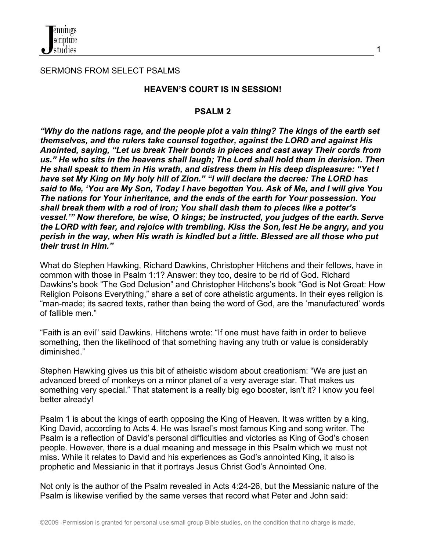

SERMONS FROM SELECT PSALMS

#### **HEAVEN'S COURT IS IN SESSION!**

#### **PSALM 2**

*"Why do the nations rage, and the people plot a vain thing? The kings of the earth set themselves, and the rulers take counsel together, against the LORD and against His Anointed, saying, "Let us break Their bonds in pieces and cast away Their cords from us." He who sits in the heavens shall laugh; The Lord shall hold them in derision. Then He shall speak to them in His wrath, and distress them in His deep displeasure: "Yet I have set My King on My holy hill of Zion." "I will declare the decree: The LORD has said to Me, 'You are My Son, Today I have begotten You. Ask of Me, and I will give You The nations for Your inheritance, and the ends of the earth for Your possession. You shall break them with a rod of iron; You shall dash them to pieces like a potter's vessel.'" Now therefore, be wise, O kings; be instructed, you judges of the earth. Serve the LORD with fear, and rejoice with trembling. Kiss the Son, lest He be angry, and you perish in the way, when His wrath is kindled but a little. Blessed are all those who put their trust in Him."*

What do Stephen Hawking, Richard Dawkins, Christopher Hitchens and their fellows, have in common with those in Psalm 1:1? Answer: they too, desire to be rid of God. Richard Dawkins's book "The God Delusion" and Christopher Hitchens's book "God is Not Great: How Religion Poisons Everything," share a set of core atheistic arguments. In their eyes religion is "man-made; its sacred texts, rather than being the word of God, are the 'manufactured' words of fallible men."

"Faith is an evil" said Dawkins. Hitchens wrote: "If one must have faith in order to believe something, then the likelihood of that something having any truth or value is considerably diminished."

Stephen Hawking gives us this bit of atheistic wisdom about creationism: "We are just an advanced breed of monkeys on a minor planet of a very average star. That makes us something very special." That statement is a really big ego booster, isn't it? I know you feel better already!

Psalm 1 is about the kings of earth opposing the King of Heaven. It was written by a king, King David, according to Acts 4. He was Israel's most famous King and song writer. The Psalm is a reflection of David's personal difficulties and victories as King of God's chosen people. However, there is a dual meaning and message in this Psalm which we must not miss. While it relates to David and his experiences as God's annointed King, it also is prophetic and Messianic in that it portrays Jesus Christ God's Annointed One.

Not only is the author of the Psalm revealed in Acts 4:24-26, but the Messianic nature of the Psalm is likewise verified by the same verses that record what Peter and John said: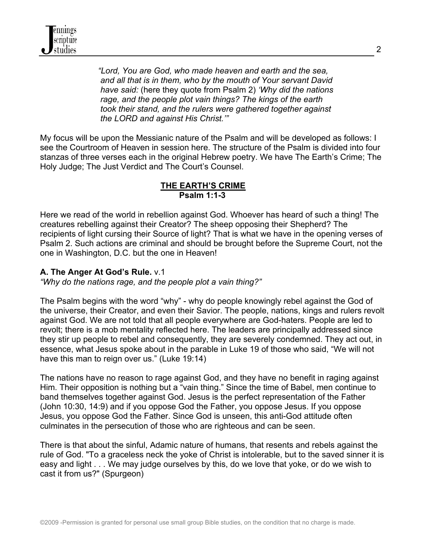

 *"Lord, You are God, who made heaven and earth and the sea, and all that is in them, who by the mouth of Your servant David have said:* (here they quote from Psalm 2) *'Why did the nations rage, and the people plot vain things? The kings of the earth took their stand, and the rulers were gathered together against the LORD and against His Christ.'"*

My focus will be upon the Messianic nature of the Psalm and will be developed as follows: I see the Courtroom of Heaven in session here. The structure of the Psalm is divided into four stanzas of three verses each in the original Hebrew poetry. We have The Earth's Crime; The Holy Judge; The Just Verdict and The Court's Counsel.

### **THE EARTH'S CRIME Psalm 1:1-3**

Here we read of the world in rebellion against God. Whoever has heard of such a thing! The creatures rebelling against their Creator? The sheep opposing their Shepherd? The recipients of light cursing their Source of light? That is what we have in the opening verses of Psalm 2. Such actions are criminal and should be brought before the Supreme Court, not the one in Washington, D.C. but the one in Heaven!

### **A. The Anger At God's Rule.** v.1

*"Why do the nations rage, and the people plot a vain thing?"*

The Psalm begins with the word "why" - why do people knowingly rebel against the God of the universe, their Creator, and even their Savior. The people, nations, kings and rulers revolt against God. We are not told that all people everywhere are God-haters. People are led to revolt; there is a mob mentality reflected here. The leaders are principally addressed since they stir up people to rebel and consequently, they are severely condemned. They act out, in essence, what Jesus spoke about in the parable in Luke 19 of those who said, "We will not have this man to reign over us." (Luke 19:14)

The nations have no reason to rage against God, and they have no benefit in raging against Him. Their opposition is nothing but a "vain thing." Since the time of Babel, men continue to band themselves together against God. Jesus is the perfect representation of the Father (John 10:30, 14:9) and if you oppose God the Father, you oppose Jesus. If you oppose Jesus, you oppose God the Father. Since God is unseen, this anti-God attitude often culminates in the persecution of those who are righteous and can be seen.

There is that about the sinful, Adamic nature of humans, that resents and rebels against the rule of God. "To a graceless neck the yoke of Christ is intolerable, but to the saved sinner it is easy and light . . . We may judge ourselves by this, do we love that yoke, or do we wish to cast it from us?" (Spurgeon)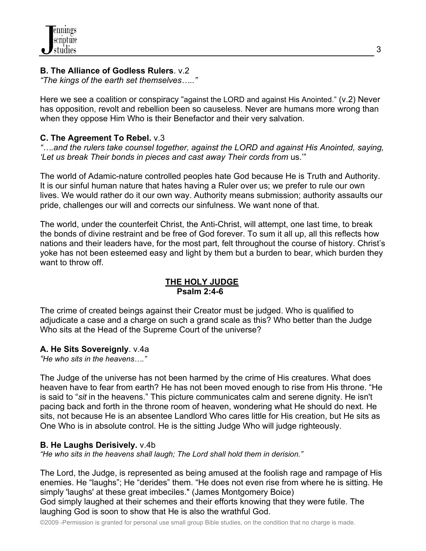## **B. The Alliance of Godless Rulers**. v.2

*"The kings of the earth set themselves….."*

Here we see a coalition or conspiracy "against the LORD and against His Anointed." (v.2) Never has opposition, revolt and rebellion been so causeless. Never are humans more wrong than when they oppose Him Who is their Benefactor and their very salvation.

## **C. The Agreement To Rebel.** v.3

*"….and the rulers take counsel together, against the LORD and against His Anointed, saying, 'Let us break Their bonds in pieces and cast away Their cords from* us.'"

The world of Adamic-nature controlled peoples hate God because He is Truth and Authority. It is our sinful human nature that hates having a Ruler over us; we prefer to rule our own lives. We would rather do it our own way. Authority means submission; authority assaults our pride, challenges our will and corrects our sinfulness. We want none of that.

The world, under the counterfeit Christ, the Anti-Christ, will attempt, one last time, to break the bonds of divine restraint and be free of God forever. To sum it all up, all this reflects how nations and their leaders have, for the most part, felt throughout the course of history. Christ's yoke has not been esteemed easy and light by them but a burden to bear, which burden they want to throw off.

### **THE HOLY JUDGE Psalm 2:4-6**

The crime of created beings against their Creator must be judged. Who is qualified to adjudicate a case and a charge on such a grand scale as this? Who better than the Judge Who sits at the Head of the Supreme Court of the universe?

# **A. He Sits Sovereignly**. v.4a

*"He who sits in the heavens…."*

The Judge of the universe has not been harmed by the crime of His creatures. What does heaven have to fear from earth? He has not been moved enough to rise from His throne. "He is said to "*sit* in the heavens." This picture communicates calm and serene dignity. He isn't pacing back and forth in the throne room of heaven, wondering what He should do next. He sits, not because He is an absentee Landlord Who cares little for His creation, but He sits as One Who is in absolute control. He is the sitting Judge Who will judge righteously.

# **B. He Laughs Derisively.** v.4b

*"He who sits in the heavens shall laugh; The Lord shall hold them in derision."*

The Lord, the Judge, is represented as being amused at the foolish rage and rampage of His enemies. He "laughs"; He "derides" them. "He does not even rise from where he is sitting. He simply 'laughs' at these great imbeciles." (James Montgomery Boice) God simply laughed at their schemes and their efforts knowing that they were futile. The

laughing God is soon to show that He is also the wrathful God.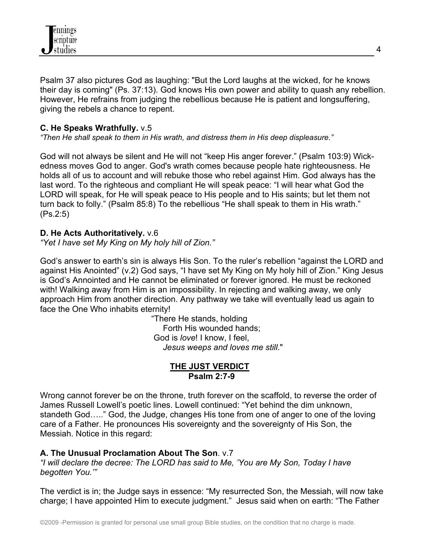

Psalm 37 also pictures God as laughing: "But the Lord laughs at the wicked, for he knows their day is coming" (Ps. 37:13). God knows His own power and ability to quash any rebellion. However, He refrains from judging the rebellious because He is patient and longsuffering, giving the rebels a chance to repent.

### **C. He Speaks Wrathfully.** v.5

*"Then He shall speak to them in His wrath, and distress them in His deep displeasure."*

God will not always be silent and He will not "keep His anger forever." (Psalm 103:9) Wickedness moves God to anger. God's wrath comes because people hate righteousness. He holds all of us to account and will rebuke those who rebel against Him. God always has the last word. To the righteous and compliant He will speak peace: "I will hear what God the LORD will speak, for He will speak peace to His people and to His saints; but let them not turn back to folly." (Psalm 85:8) To the rebellious "He shall speak to them in His wrath." (Ps.2:5)

### **D. He Acts Authoritatively.** v.6

*"Yet I have set My King on My holy hill of Zion."* 

God's answer to earth's sin is always His Son. To the ruler's rebellion "against the LORD and against His Anointed" (v.2) God says, "I have set My King on My holy hill of Zion." King Jesus is God's Annointed and He cannot be eliminated or forever ignored. He must be reckoned with! Walking away from Him is an impossibility. In rejecting and walking away, we only approach Him from another direction. Any pathway we take will eventually lead us again to face the One Who inhabits eternity!

> "There He stands, holding Forth His wounded hands; God is *love*! I know, I feel, *Jesus weeps and loves me still*."

#### **THE JUST VERDICT Psalm 2:7-9**

Wrong cannot forever be on the throne, truth forever on the scaffold, to reverse the order of James Russell Lowell's poetic lines. Lowell continued: "Yet behind the dim unknown, standeth God….." God, the Judge, changes His tone from one of anger to one of the loving care of a Father. He pronounces His sovereignty and the sovereignty of His Son, the Messiah. Notice in this regard:

#### **A. The Unusual Proclamation About The Son**. v.7

*"I will declare the decree: The LORD has said to Me, 'You are My Son, Today I have begotten You.'"*

The verdict is in; the Judge says in essence: "My resurrected Son, the Messiah, will now take charge; I have appointed Him to execute judgment." Jesus said when on earth: "The Father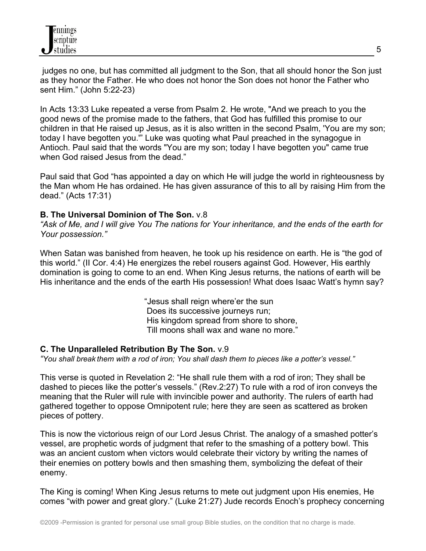judges no one, but has committed all judgment to the Son, that all should honor the Son just as they honor the Father. He who does not honor the Son does not honor the Father who sent Him." (John 5:22-23)

In Acts 13:33 Luke repeated a verse from Psalm 2. He wrote, "And we preach to you the good news of the promise made to the fathers, that God has fulfilled this promise to our children in that He raised up Jesus, as it is also written in the second Psalm, 'You are my son; today I have begotten you.'" Luke was quoting what Paul preached in the synagogue in Antioch. Paul said that the words "You are my son; today I have begotten you" came true when God raised Jesus from the dead."

Paul said that God "has appointed a day on which He will judge the world in righteousness by the Man whom He has ordained. He has given assurance of this to all by raising Him from the dead." (Acts 17:31)

### **B. The Universal Dominion of The Son.** v.8

*"Ask of Me, and I will give You The nations for Your inheritance, and the ends of the earth for Your possession."*

When Satan was banished from heaven, he took up his residence on earth. He is "the god of this world." (II Cor. 4:4) He energizes the rebel rousers against God. However, His earthly domination is going to come to an end. When King Jesus returns, the nations of earth will be His inheritance and the ends of the earth His possession! What does Isaac Watt's hymn say?

> "Jesus shall reign where'er the sun Does its successive journeys run; His kingdom spread from shore to shore, Till moons shall wax and wane no more."

### **C. The Unparalleled Retribution By The Son.** v.9

*"You shall break them with a rod of iron; You shall dash them to pieces like a potter's vessel."*

This verse is quoted in Revelation 2: "He shall rule them with a rod of iron; They shall be dashed to pieces like the potter's vessels." (Rev.2:27) To rule with a rod of iron conveys the meaning that the Ruler will rule with invincible power and authority. The rulers of earth had gathered together to oppose Omnipotent rule; here they are seen as scattered as broken pieces of pottery.

This is now the victorious reign of our Lord Jesus Christ. The analogy of a smashed potter's vessel, are prophetic words of judgment that refer to the smashing of a pottery bowl. This was an ancient custom when victors would celebrate their victory by writing the names of their enemies on pottery bowls and then smashing them, symbolizing the defeat of their enemy.

The King is coming! When King Jesus returns to mete out judgment upon His enemies, He comes "with power and great glory." (Luke 21:27) Jude records Enoch's prophecy concerning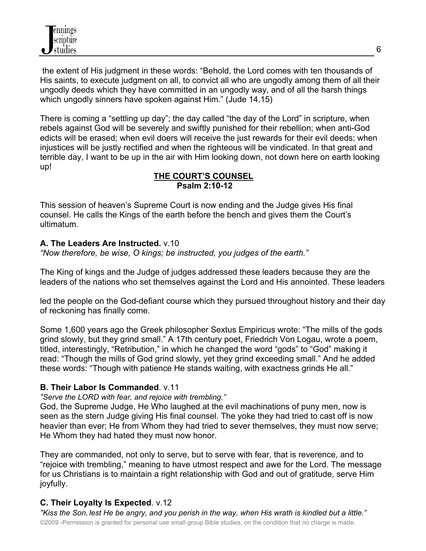the extent of His judgment in these words: "Behold, the Lord comes with ten thousands of His saints, to execute judgment on all, to convict all who are ungodly among them of all their ungodly deeds which they have committed in an ungodly way, and of all the harsh things which ungodly sinners have spoken against Him." (Jude 14,15)

There is coming a "settling up day"; the day called "the day of the Lord" in scripture, when rebels against God will be severely and swiftly punished for their rebellion; when anti-God edicts will be erased; when evil doers will receive the just rewards for their evil deeds; when injustices will be justly rectified and when the righteous will be vindicated. In that great and terrible day, I want to be up in the air with Him looking down, not down here on earth looking up!

### **THE COURT'S COUNSEL Psalm 2:10-12**

This session of heaven's Supreme Court is now ending and the Judge gives His final counsel. He calls the Kings of the earth before the bench and gives them the Court's ultimatum.

# **A. The Leaders Are Instructed.** v.10

*"Now therefore, be wise, O kings; be instructed, you judges of the earth."*

The King of kings and the Judge of judges addressed these leaders because they are the leaders of the nations who set themselves against the Lord and His annointed. These leaders

led the people on the God-defiant course which they pursued throughout history and their day of reckoning has finally come.

Some 1,600 years ago the Greek philosopher Sextus Empiricus wrote: "The mills of the gods grind slowly, but they grind small." A 17th century poet, Friedrich Von Logau, wrote a poem, titled, interestingly, "Retribution," in which he changed the word "gods" to "God" making it read: "Though the mills of God grind slowly, yet they grind exceeding small." And he added these words: "Though with patience He stands waiting, with exactness grinds He all."

# **B. Their Labor Is Commanded**. v.11

*"Serve the LORD with fear, and rejoice with trembling."*

God, the Supreme Judge, He Who laughed at the evil machinations of puny men, now is seen as the stern Judge giving His final counsel. The yoke they had tried to cast off is now heavier than ever; He from Whom they had tried to sever themselves, they must now serve; He Whom they had hated they must now honor.

They are commanded, not only to serve, but to serve with fear, that is reverence, and to "rejoice with trembling," meaning to have utmost respect and awe for the Lord. The message for us Christians is to maintain a right relationship with God and out of gratitude, serve Him joyfully.

# **C. Their Loyalty Is Expected**. v.12

©2009 -Permission is granted for personal use small group Bible studies, on the condition that no charge is made. *"Kiss the Son, lest He be angry, and you perish in the way, when His wrath is kindled but a little."*